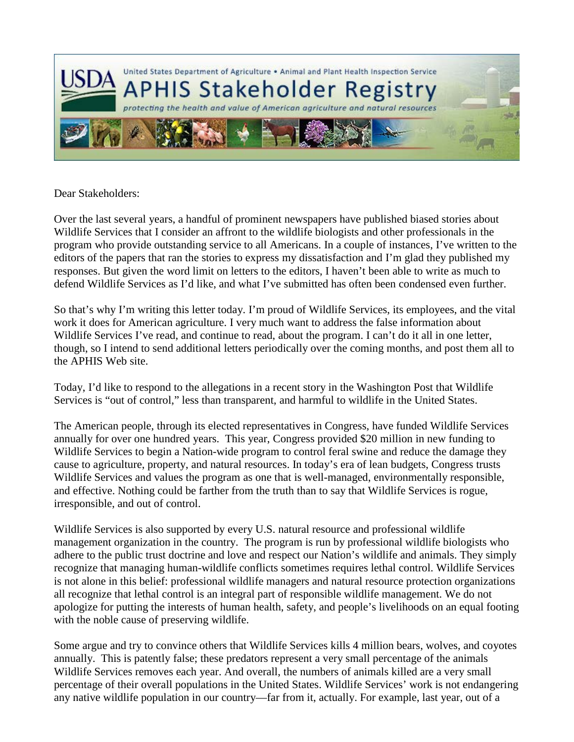

## Dear Stakeholders:

Over the last several years, a handful of prominent newspapers have published biased stories about Wildlife Services that I consider an affront to the wildlife biologists and other professionals in the program who provide outstanding service to all Americans. In a couple of instances, I've written to the editors of the papers that ran the stories to express my dissatisfaction and I'm glad they published my responses. But given the word limit on letters to the editors, I haven't been able to write as much to defend Wildlife Services as I'd like, and what I've submitted has often been condensed even further.

So that's why I'm writing this letter today. I'm proud of Wildlife Services, its employees, and the vital work it does for American agriculture. I very much want to address the false information about Wildlife Services I've read, and continue to read, about the program. I can't do it all in one letter, though, so I intend to send additional letters periodically over the coming months, and post them all to the APHIS Web site.

Today, I'd like to respond to the allegations in a recent story in the Washington Post that Wildlife Services is "out of control," less than transparent, and harmful to wildlife in the United States.

The American people, through its elected representatives in Congress, have funded Wildlife Services annually for over one hundred years. This year, Congress provided \$20 million in new funding to Wildlife Services to begin a Nation-wide program to control feral swine and reduce the damage they cause to agriculture, property, and natural resources. In today's era of lean budgets, Congress trusts Wildlife Services and values the program as one that is well-managed, environmentally responsible, and effective. Nothing could be farther from the truth than to say that Wildlife Services is rogue, irresponsible, and out of control.

Wildlife Services is also supported by every U.S. natural resource and professional wildlife management organization in the country. The program is run by professional wildlife biologists who adhere to the public trust doctrine and love and respect our Nation's wildlife and animals. They simply recognize that managing human-wildlife conflicts sometimes requires lethal control. Wildlife Services is not alone in this belief: professional wildlife managers and natural resource protection organizations all recognize that lethal control is an integral part of responsible wildlife management. We do not apologize for putting the interests of human health, safety, and people's livelihoods on an equal footing with the noble cause of preserving wildlife.

Some argue and try to convince others that Wildlife Services kills 4 million bears, wolves, and coyotes annually. This is patently false; these predators represent a very small percentage of the animals Wildlife Services removes each year. And overall, the numbers of animals killed are a very small percentage of their overall populations in the United States. Wildlife Services' work is not endangering any native wildlife population in our country—far from it, actually. For example, last year, out of a